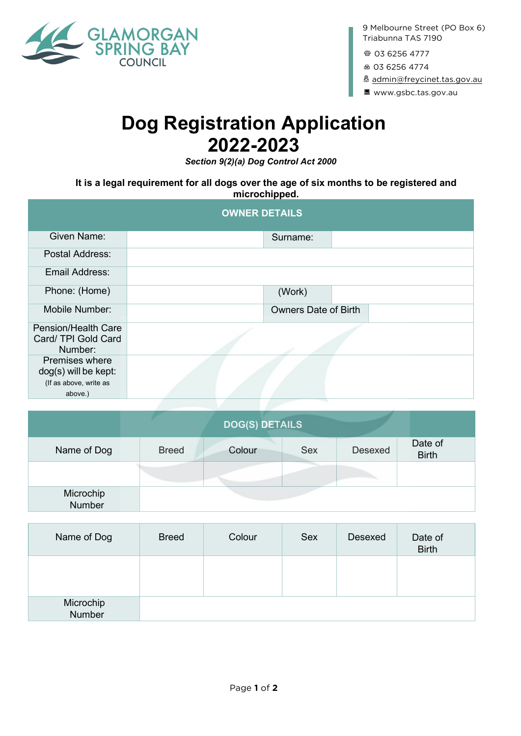

9 Melbourne Street (PO Box 6) Triabunna TAS 7190

@ 03 6256 4777

F <sup>03</sup> <sup>6256</sup> <sup>4774</sup>

x [admin@freycinet.tas.gov.au](mailto:admin@freycinet.tas.gov.au)

B www.gsbc.tas.gov.au

# **Dog Registration Application 2022-2023**

*Section 9(2)(a) Dog Control Act 2000*

### **It is a legal requirement for all dogs over the age of six months to be registered and microchipped.**

| <b>OWNER DETAILS</b>                                  |  |                             |  |  |
|-------------------------------------------------------|--|-----------------------------|--|--|
| Given Name:                                           |  | Surname:                    |  |  |
| Postal Address:                                       |  |                             |  |  |
| Email Address:                                        |  |                             |  |  |
| Phone: (Home)                                         |  | (Work)                      |  |  |
| Mobile Number:                                        |  | <b>Owners Date of Birth</b> |  |  |
| Pension/Health Care<br>Card/ TPI Gold Card<br>Number: |  |                             |  |  |
| <b>Premises where</b><br>dog(s) will be kept:         |  |                             |  |  |
| (If as above, write as<br>above.)                     |  |                             |  |  |

|                            |              | <b>DOG(S) DETAILS</b> |            |                |                         |
|----------------------------|--------------|-----------------------|------------|----------------|-------------------------|
| Name of Dog                | <b>Breed</b> | Colour                | <b>Sex</b> | <b>Desexed</b> | Date of<br><b>Birth</b> |
|                            |              |                       |            |                |                         |
| Microchip<br><b>Number</b> |              |                       |            |                |                         |

| Name of Dog         | <b>Breed</b> | Colour | Sex | Desexed | Date of<br><b>Birth</b> |
|---------------------|--------------|--------|-----|---------|-------------------------|
|                     |              |        |     |         |                         |
| Microchip<br>Number |              |        |     |         |                         |